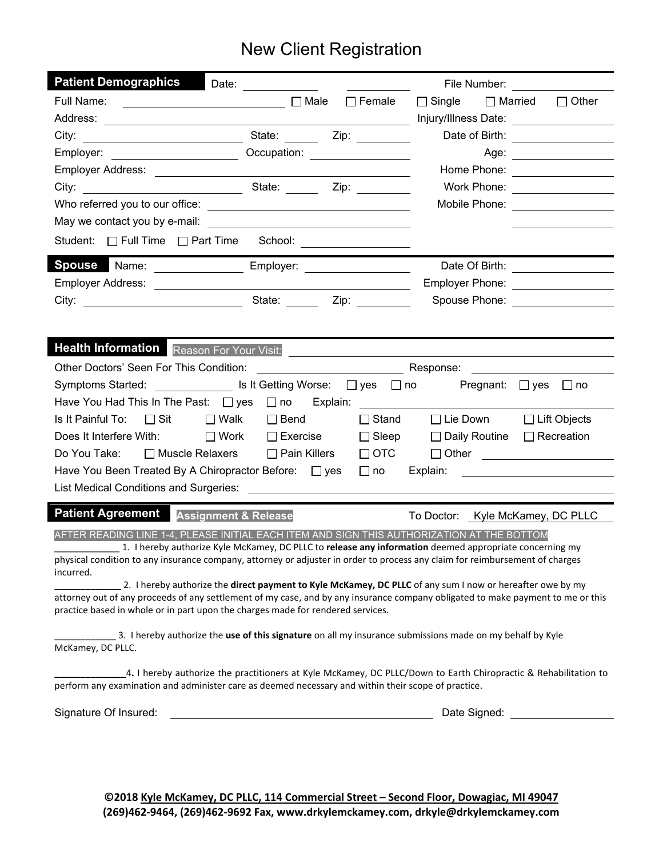## New Client Registration

| <b>Patient Demographics</b>                                                                                                                                                                                                         | Date: _____________     |  |  | File Number: <u>_______</u>                                                                                                     |  |  |  |  |  |
|-------------------------------------------------------------------------------------------------------------------------------------------------------------------------------------------------------------------------------------|-------------------------|--|--|---------------------------------------------------------------------------------------------------------------------------------|--|--|--|--|--|
|                                                                                                                                                                                                                                     |                         |  |  | Full Name: ____________________________ □ Male □ Female □ Single □ Married □ Other                                              |  |  |  |  |  |
|                                                                                                                                                                                                                                     |                         |  |  | Injury/Illness Date: ___________________                                                                                        |  |  |  |  |  |
| City:                                                                                                                                                                                                                               |                         |  |  | Date of Birth: _________________                                                                                                |  |  |  |  |  |
|                                                                                                                                                                                                                                     |                         |  |  | Age: __________________                                                                                                         |  |  |  |  |  |
|                                                                                                                                                                                                                                     |                         |  |  | Home Phone: ________________                                                                                                    |  |  |  |  |  |
|                                                                                                                                                                                                                                     |                         |  |  | Work Phone: _________________                                                                                                   |  |  |  |  |  |
|                                                                                                                                                                                                                                     |                         |  |  | Mobile Phone: ________________                                                                                                  |  |  |  |  |  |
|                                                                                                                                                                                                                                     |                         |  |  |                                                                                                                                 |  |  |  |  |  |
|                                                                                                                                                                                                                                     |                         |  |  |                                                                                                                                 |  |  |  |  |  |
| Spouse Name: _________________________ Employer: _______________________________                                                                                                                                                    |                         |  |  | Date Of Birth: __________________                                                                                               |  |  |  |  |  |
|                                                                                                                                                                                                                                     |                         |  |  | Employer Phone: __________________                                                                                              |  |  |  |  |  |
|                                                                                                                                                                                                                                     |                         |  |  | Spouse Phone: _________________                                                                                                 |  |  |  |  |  |
|                                                                                                                                                                                                                                     |                         |  |  |                                                                                                                                 |  |  |  |  |  |
| <b>Health Information</b> Reason For Your Visit: Network and Contact the Contact of Team Accounts and Contact the Contact of Team Accounts and Contact the Contact of Team Accounts and Contact of Team Accounts and Contact of Tea |                         |  |  |                                                                                                                                 |  |  |  |  |  |
|                                                                                                                                                                                                                                     |                         |  |  | Response: _____________________                                                                                                 |  |  |  |  |  |
| Symptoms Started: Symptoms Started: Symptoms Started: Symptoms Started: Sumptoms Started: Sumptom Inc                                                                                                                               |                         |  |  |                                                                                                                                 |  |  |  |  |  |
| Have You Had This In The Past: □ yes □ no Explain: _____________________________                                                                                                                                                    |                         |  |  |                                                                                                                                 |  |  |  |  |  |
| Is It Painful To: $\Box$ Sit                                                                                                                                                                                                        | $\Box$ Walk $\Box$ Bend |  |  | □ Stand □ Lie Down □ Lift Objects                                                                                               |  |  |  |  |  |
| Does It Interfere With: $\Box$ Work $\Box$ Exercise $\Box$ Sleep $\Box$ Daily Routine $\Box$ Recreation                                                                                                                             |                         |  |  |                                                                                                                                 |  |  |  |  |  |
| Do You Take: □ Muscle Relaxers □ Pain Killers □ OTC                                                                                                                                                                                 |                         |  |  | □ Other <u>_________________</u>                                                                                                |  |  |  |  |  |
| Have You Been Treated By A Chiropractor Before: □ yes □ no Explain:                                                                                                                                                                 |                         |  |  | <u> 1980 - Andrea Barbara, poeta esperanto-poeta esperanto-poeta esperanto-poeta esperanto-poeta esperanto-poeta</u>            |  |  |  |  |  |
|                                                                                                                                                                                                                                     |                         |  |  |                                                                                                                                 |  |  |  |  |  |
| Patient Agreement Assignment & Release                                                                                                                                                                                              |                         |  |  | To Doctor: Kyle McKamey, DC PLLC                                                                                                |  |  |  |  |  |
|                                                                                                                                                                                                                                     |                         |  |  |                                                                                                                                 |  |  |  |  |  |
| AFTER READING LINE 1-4, PLEASE INITIAL EACH ITEM AND SIGN THIS AUTHORIZATION AT THE BOTTOM<br>1. I hereby authorize Kyle McKamey, DC PLLC to release any information deemed appropriate concerning my                               |                         |  |  |                                                                                                                                 |  |  |  |  |  |
| physical condition to any insurance company, attorney or adjuster in order to process any claim for reimbursement of charges                                                                                                        |                         |  |  |                                                                                                                                 |  |  |  |  |  |
| incurred.                                                                                                                                                                                                                           |                         |  |  | 2. I hereby authorize the direct payment to Kyle McKamey, DC PLLC of any sum I now or hereafter owe by my                       |  |  |  |  |  |
|                                                                                                                                                                                                                                     |                         |  |  | attorney out of any proceeds of any settlement of my case, and by any insurance company obligated to make payment to me or this |  |  |  |  |  |
| practice based in whole or in part upon the charges made for rendered services.                                                                                                                                                     |                         |  |  |                                                                                                                                 |  |  |  |  |  |
|                                                                                                                                                                                                                                     |                         |  |  | 3. I hereby authorize the use of this signature on all my insurance submissions made on my behalf by Kyle                       |  |  |  |  |  |
| McKamey, DC PLLC.                                                                                                                                                                                                                   |                         |  |  |                                                                                                                                 |  |  |  |  |  |
|                                                                                                                                                                                                                                     |                         |  |  | 4. I hereby authorize the practitioners at Kyle McKamey, DC PLLC/Down to Earth Chiropractic & Rehabilitation to                 |  |  |  |  |  |
| perform any examination and administer care as deemed necessary and within their scope of practice.                                                                                                                                 |                         |  |  |                                                                                                                                 |  |  |  |  |  |
| Signature Of Insured:                                                                                                                                                                                                               |                         |  |  | Date Signed: <b>Example 20</b>                                                                                                  |  |  |  |  |  |
|                                                                                                                                                                                                                                     |                         |  |  |                                                                                                                                 |  |  |  |  |  |
|                                                                                                                                                                                                                                     |                         |  |  |                                                                                                                                 |  |  |  |  |  |

**©2018 Kyle McKamey, DC PLLC, 114 Commercial Street – Second Floor, Dowagiac, MI 49047 (269)462-9464, (269)462-9692 Fax, [www.drkylemckamey.com,](http://www.drkylemckamey.com/) drkyle@drkylemckamey.com**